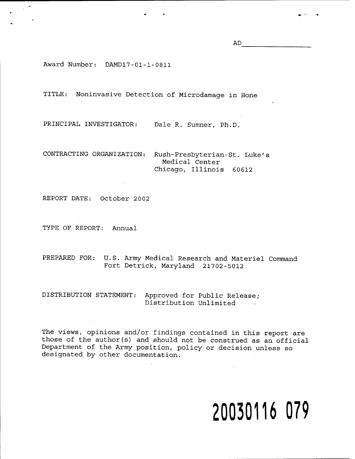AD

Award Number: DAMD17-01-1-0811

TITLE: Noninvasive Detection of Microdamage in Bone

PRINCIPAL INVESTIGATOR: Dale R. Sumner, Ph.D.

CONTRACTING ORGANIZATION: Rush-Presbyterian-St. Luke's Medical Center Chicago, Illinois 60612

REPORT DATE: October 2002

TYPE OF REPORT: Annual

PREPARED FOR: U.S. Army Medical Research and Materiel Command Fort Detrick, Maryland 21702-5012

DISTRIBUTION STATEMENT: Approved for Public Release; Distribution Unlimited

The views, opinions and/or findings contained in this report are those of the author(s) and should not be construed as an official Department of the Army position, policy or decision unless so designated by other documentation.

# **20030116 079**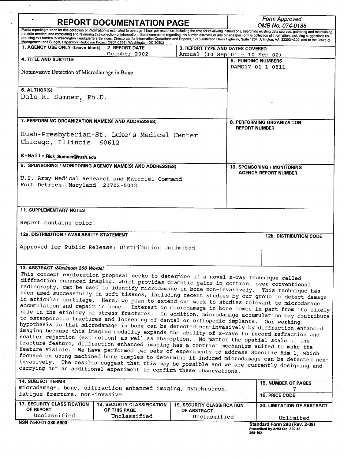| <b>REPORT DOCUMENTATION PAGE</b>                                                                                                                                                                 |                                                                                                                                                                                                                                                                                                                                                                                                                                                                                                                                                                                                                                            |                                    | <b>Form Approved</b><br>OMB No. 074-0188                   |                                            |  |
|--------------------------------------------------------------------------------------------------------------------------------------------------------------------------------------------------|--------------------------------------------------------------------------------------------------------------------------------------------------------------------------------------------------------------------------------------------------------------------------------------------------------------------------------------------------------------------------------------------------------------------------------------------------------------------------------------------------------------------------------------------------------------------------------------------------------------------------------------------|------------------------------------|------------------------------------------------------------|--------------------------------------------|--|
|                                                                                                                                                                                                  | Public reporting burden for this collection of information is estimated to average 1 hour per response, including the time for reviewing instructions, searching existing data sources, gathering and maintaining<br>the data needed, and completing and reviewing this collection of information. Send comments regarding this burden estimate or any other aspect of this collection of information, including suggestions for<br>reducing this burden to Washington Headquarters Services, Directorate for Information Operations and Reports, 1215 Jefferson Davis Highway, Suite 1204, Arlington, VA 22202-4302, and to the Office of |                                    |                                                            |                                            |  |
| Management and Budget, Paperwork Reduction Project (0704-0188), Washington, DC 20503<br>1. AGENCY USE ONLY (Leave blank)                                                                         | 2. REPORT DATE                                                                                                                                                                                                                                                                                                                                                                                                                                                                                                                                                                                                                             | 3. REPORT TYPE AND DATES COVERED   |                                                            |                                            |  |
| <b>4. TITLE AND SUBTITLE</b>                                                                                                                                                                     | October 2002                                                                                                                                                                                                                                                                                                                                                                                                                                                                                                                                                                                                                               | Annual (10 Sep 01 - 10 Sep 02)     |                                                            |                                            |  |
|                                                                                                                                                                                                  |                                                                                                                                                                                                                                                                                                                                                                                                                                                                                                                                                                                                                                            |                                    | <b>5. FUNDING NUMBERS</b><br>DAMD17-01-1-0811              |                                            |  |
| Noninvasive Detection of Microdamage in Bone                                                                                                                                                     |                                                                                                                                                                                                                                                                                                                                                                                                                                                                                                                                                                                                                                            |                                    |                                                            |                                            |  |
| 6. AUTHOR(S)                                                                                                                                                                                     |                                                                                                                                                                                                                                                                                                                                                                                                                                                                                                                                                                                                                                            |                                    |                                                            |                                            |  |
| Dale R. Sumner, Ph.D.                                                                                                                                                                            |                                                                                                                                                                                                                                                                                                                                                                                                                                                                                                                                                                                                                                            |                                    |                                                            |                                            |  |
|                                                                                                                                                                                                  |                                                                                                                                                                                                                                                                                                                                                                                                                                                                                                                                                                                                                                            |                                    |                                                            |                                            |  |
|                                                                                                                                                                                                  |                                                                                                                                                                                                                                                                                                                                                                                                                                                                                                                                                                                                                                            |                                    |                                                            |                                            |  |
| 7. PERFORMING ORGANIZATION NAME(S) AND ADDRESS(ES)                                                                                                                                               |                                                                                                                                                                                                                                                                                                                                                                                                                                                                                                                                                                                                                                            |                                    | 8. PERFORMING ORGANIZATION<br><b>REPORT NUMBER</b>         |                                            |  |
| Rush-Presbyterian-St. Luke's Medical Center                                                                                                                                                      |                                                                                                                                                                                                                                                                                                                                                                                                                                                                                                                                                                                                                                            |                                    |                                                            |                                            |  |
| Chicago, Illinois 60612                                                                                                                                                                          |                                                                                                                                                                                                                                                                                                                                                                                                                                                                                                                                                                                                                                            |                                    |                                                            |                                            |  |
| E-Mail: Rick_Sumner@rush.edu                                                                                                                                                                     |                                                                                                                                                                                                                                                                                                                                                                                                                                                                                                                                                                                                                                            |                                    |                                                            |                                            |  |
| 9. SPONSORING / MONITORING AGENCY NAME(S) AND ADDRESS(ES)                                                                                                                                        |                                                                                                                                                                                                                                                                                                                                                                                                                                                                                                                                                                                                                                            |                                    | 10. SPONSORING / MONITORING<br><b>AGENCY REPORT NUMBER</b> |                                            |  |
|                                                                                                                                                                                                  |                                                                                                                                                                                                                                                                                                                                                                                                                                                                                                                                                                                                                                            |                                    |                                                            |                                            |  |
| U.S. Army Medical Research and Materiel Command<br>Fort Detrick, Maryland 21702-5012                                                                                                             |                                                                                                                                                                                                                                                                                                                                                                                                                                                                                                                                                                                                                                            |                                    |                                                            |                                            |  |
|                                                                                                                                                                                                  |                                                                                                                                                                                                                                                                                                                                                                                                                                                                                                                                                                                                                                            |                                    |                                                            |                                            |  |
|                                                                                                                                                                                                  |                                                                                                                                                                                                                                                                                                                                                                                                                                                                                                                                                                                                                                            |                                    |                                                            |                                            |  |
| <b>11. SUPPLEMENTARY NOTES</b>                                                                                                                                                                   |                                                                                                                                                                                                                                                                                                                                                                                                                                                                                                                                                                                                                                            |                                    |                                                            |                                            |  |
| Report contains color.                                                                                                                                                                           |                                                                                                                                                                                                                                                                                                                                                                                                                                                                                                                                                                                                                                            |                                    |                                                            |                                            |  |
| 12a. DISTRIBUTION / AVAILABILITY STATEMENT                                                                                                                                                       |                                                                                                                                                                                                                                                                                                                                                                                                                                                                                                                                                                                                                                            |                                    |                                                            | <b>12b. DISTRIBUTION CODE</b>              |  |
| Approved for Public Release; Distribution Unlimited                                                                                                                                              |                                                                                                                                                                                                                                                                                                                                                                                                                                                                                                                                                                                                                                            |                                    |                                                            |                                            |  |
|                                                                                                                                                                                                  |                                                                                                                                                                                                                                                                                                                                                                                                                                                                                                                                                                                                                                            |                                    |                                                            |                                            |  |
| 13. ABSTRACT (Maximum 200 Words)                                                                                                                                                                 |                                                                                                                                                                                                                                                                                                                                                                                                                                                                                                                                                                                                                                            |                                    |                                                            |                                            |  |
| This concept exploration proposal seeks to determine if a novel x-ray technique called                                                                                                           |                                                                                                                                                                                                                                                                                                                                                                                                                                                                                                                                                                                                                                            |                                    |                                                            |                                            |  |
| diffraction enhanced imaging, which provides dramatic gains in contrast over conventional<br>radiography, can be used to identify microdamage in bone non-invasively.                            |                                                                                                                                                                                                                                                                                                                                                                                                                                                                                                                                                                                                                                            |                                    |                                                            |                                            |  |
| This technique has<br>been used successfully in soft tissues, including recent studies by our group to detect damage                                                                             |                                                                                                                                                                                                                                                                                                                                                                                                                                                                                                                                                                                                                                            |                                    |                                                            |                                            |  |
| in articular cartilage. Here, we plan to extend our work to studies relevant to microdamage                                                                                                      |                                                                                                                                                                                                                                                                                                                                                                                                                                                                                                                                                                                                                                            |                                    |                                                            |                                            |  |
| accumulation and repair in bone. Interest in microdamage in bone comes in part from its likely<br>role in the etiology of stress fractures. In addition, microdamage accumulation may contribute |                                                                                                                                                                                                                                                                                                                                                                                                                                                                                                                                                                                                                                            |                                    |                                                            |                                            |  |
| to osteoporotic fractures and loosening of dental or orthopedic implants. Our working                                                                                                            |                                                                                                                                                                                                                                                                                                                                                                                                                                                                                                                                                                                                                                            |                                    |                                                            |                                            |  |
| hypothesis is that microdamage in bone can be detected non-invasively by diffraction enhanced<br>imaging because this imaging modality expands the ability of x-rays to record refraction and    |                                                                                                                                                                                                                                                                                                                                                                                                                                                                                                                                                                                                                                            |                                    |                                                            |                                            |  |
| scatter rejection (extinction) as well as absorption. No matter the spatial scale of the                                                                                                         |                                                                                                                                                                                                                                                                                                                                                                                                                                                                                                                                                                                                                                            |                                    |                                                            |                                            |  |
| fracture feature, diffraction enhanced imaging has a contrast mechanism suited to make the                                                                                                       |                                                                                                                                                                                                                                                                                                                                                                                                                                                                                                                                                                                                                                            |                                    |                                                            |                                            |  |
| feature visible. We have performed two sets of experiments to address Specific Aim 1, which<br>focuses on using machined bone samples to determine if induced microdamage can be detected non-   |                                                                                                                                                                                                                                                                                                                                                                                                                                                                                                                                                                                                                                            |                                    |                                                            |                                            |  |
| invasively. The results suggest that this may be possible and we are currently designing and<br>carrying out an additional experiment to confirm these observations.                             |                                                                                                                                                                                                                                                                                                                                                                                                                                                                                                                                                                                                                                            |                                    |                                                            |                                            |  |
|                                                                                                                                                                                                  |                                                                                                                                                                                                                                                                                                                                                                                                                                                                                                                                                                                                                                            |                                    |                                                            |                                            |  |
| <b>14. SUBJECT TERMS</b>                                                                                                                                                                         |                                                                                                                                                                                                                                                                                                                                                                                                                                                                                                                                                                                                                                            |                                    |                                                            | <b>15. NUMBER OF PAGES</b>                 |  |
| microdamage, bone, diffraction enhanced imaging, synchrotron,<br>fatigue fracture, non-invasive                                                                                                  |                                                                                                                                                                                                                                                                                                                                                                                                                                                                                                                                                                                                                                            |                                    |                                                            | 7<br>16. PRICE CODE                        |  |
| <b>17. SECURITY CLASSIFICATION</b>                                                                                                                                                               | <b>18. SECURITY CLASSIFICATION</b>                                                                                                                                                                                                                                                                                                                                                                                                                                                                                                                                                                                                         | <b>19. SECURITY CLASSIFICATION</b> |                                                            | 20. LIMITATION OF ABSTRACT                 |  |
| OF REPORT<br>Unclassified                                                                                                                                                                        | OF THIS PAGE<br>Unclassified                                                                                                                                                                                                                                                                                                                                                                                                                                                                                                                                                                                                               | OF ABSTRACT<br>Unclassified        |                                                            |                                            |  |
| NSN 7540-01-280-5500                                                                                                                                                                             |                                                                                                                                                                                                                                                                                                                                                                                                                                                                                                                                                                                                                                            |                                    |                                                            | Unlimited<br>Standard Form 298 (Rev. 2-89) |  |
|                                                                                                                                                                                                  |                                                                                                                                                                                                                                                                                                                                                                                                                                                                                                                                                                                                                                            |                                    | 298-102                                                    | Prescribed by ANSI Std. Z39-18             |  |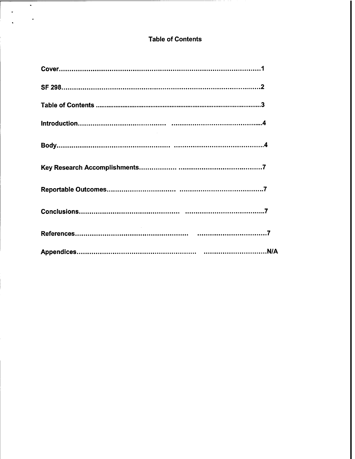# **Table of Contents**

 $\bullet$ 

 $\ddot{\phantom{a}}$ 

 $\bar{\star}$ 

 $\overline{a}$ 

| $\label{eq:2.1} \mathcal{L} = \mathcal{L} \left( \mathcal{L} \right) \mathcal{L} \left( \mathcal{L} \right) \mathcal{L} \left( \mathcal{L} \right)$ |  |
|-----------------------------------------------------------------------------------------------------------------------------------------------------|--|
|                                                                                                                                                     |  |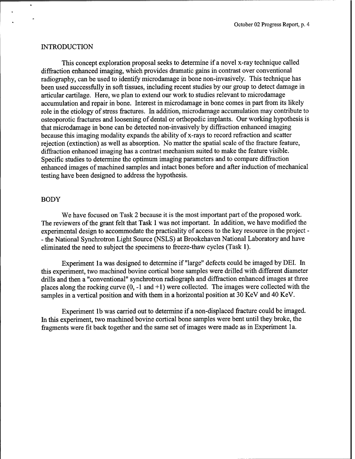### **INTRODUCTION**

This concept exploration proposal seeks to determine if a novel x-ray technique called diffraction enhanced imaging, which provides dramatic gains in contrast over conventional radiography, can be used to identify microdamage in bone non-invasively. This technique has been used successfully in soft tissues, including recent studies by our group to detect damage in articular cartilage. Here, we plan to extend our work to studies relevant to microdamage accumulation and repair in bone. Interest in microdamage in bone comes in part from its likely role in the etiology of stress fractures. In addition, microdamage accumulation may contribute to osteoporotic fractures and loosening of dental or orthopedic implants. Our working hypothesis is that microdamage in bone can be detected non-invasively by diffraction enhanced imaging because this imaging modality expands the ability of x-rays to record refraction and scatter rejection (extinction) as well as absorption. No matter the spatial scale of the fracture feature, diffraction enhanced imaging has a contrast mechanism suited to make the feature visible. Specific studies to determine the optimum imaging parameters and to compare diffraction enhanced images of machined samples and intact bones before and after induction of mechanical testing have been designed to address the hypothesis.

#### BODY

We have focused on Task 2 because it is the most important part of the proposed work. The reviewers of the grant felt that Task 1 was not important. In addition, we have modified the experimental design to accommodate the practicality of access to the key resource in the project - - the National Synchrotron Light Source (NSLS) at Brookehaven National Laboratory and have eliminated the need to subject the specimens to freeze-thaw cycles (Task 1).

Experiment la was designed to determine if "large" defects could be imaged by DEI. In this experiment, two machined bovine cortical bone samples were drilled with different diameter drills and then a "conventional" synchrotron radiograph and diffraction enhanced images at three places along the rocking curve  $(0, -1, 1)$  were collected. The images were collected with the samples in a vertical position and with them in a horizontal position at 30 KeV and 40 KeV.

Experiment lb was carried out to determine if a non-displaced fracture could be imaged. In this experiment, two machined bovine cortical bone samples were bent until they broke, the fragments were fit back together and the same set of images were made as in Experiment 1a.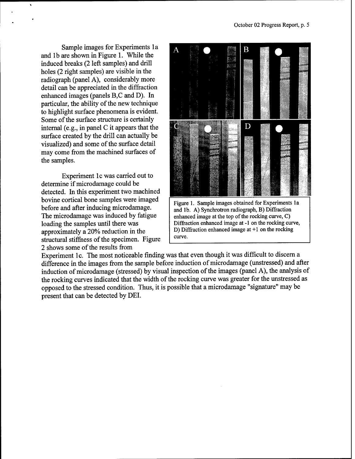Sample images for Experiments la and lb are shown in Figure 1. While the induced breaks (2 left samples) and drill holes (2 right samples) are visible in the radiograph (panel A), considerably more detail can be appreciated in the diffraction enhanced images (panels B,C and D). In particular, the ability of the new technique to highlight surface phenomena is evident. Some of the surface structure is certainly internal (e.g., in panel C it appears that the surface created by the drill can actually be visualized) and some of the surface detail may come from the machined surfaces of the samples.

Experiment lc was carried out to determine if microdamage could be detected. In this experiment two machined bovine cortical bone samples were imaged before and after inducing microdamage. The microdamage was induced by fatigue loading the samples until there was approximately a 20% reduction in the structural stiffness of the specimen. Figure 2 shows some of the results from



enhanced image at the top of the rocking curve,  $C$ ) Diffraction enhanced image at -1 on the rocking curve, D) Diffraction enhanced image at +1 on the rocking curve.

Experiment lc. The most noticeable finding was that even though it was difficult to discern a difference in the images from the sample before induction of microdamage (unstressed) and after induction of microdamage (stressed) by visual inspection of the images (panel A), the analysis of the rocking curves indicated that the width of the rocking curve was greater for the unstressed as opposed to the stressed condition. Thus, it is possible that a microdamage "signature" may be present that can be detected by DEI.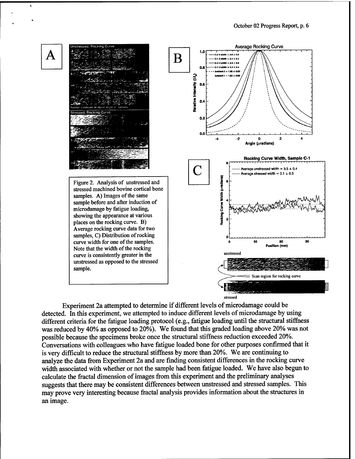

stressed

Experiment 2a attempted to determine if different levels of microdamage could be detected. In this experiment, we attempted to induce different levels of microdamage by using different criteria for the fatigue loading protocol (e.g., fatigue loading until the structural stiffness was reduced by 40% as opposed to 20%). We found that this graded loading above 20% was not possible because the specimens broke once the structural stiffness reduction exceeded 20%. Conversations with colleagues who have fatigue loaded bone for other purposes confirmed that it is very difficult to reduce the structural stiffness by more than 20%. We are continuing to analyze the data from Experiment 2a and are finding consistent differences in the rocking curve width associated with whether or not the sample had been fatigue loaded. We have also begun to calculate the fractal dimension of images from this experiment and the preliminary analyses suggests that there may be consistent differences between unstressed and stressed samples. This may prove very interesting because fractal analysis provides information about the structures in an image.